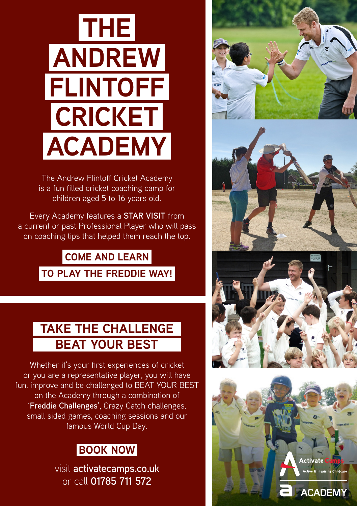

The Andrew Flintoff Cricket Academy is a fun filled cricket coaching camp for children aged 5 to 16 years old.

Every Academy features a **STAR VISIT** from a current or past Professional Player who will pass on coaching tips that helped them reach the top.

# **COME AND LEARN TO PLAY THE FREDDIE WAY!**

# **TAKE THE CHALLENGE BEAT YOUR BEST**

Whether it's your first experiences of cricket or you are a representative player, you will have fun, improve and be challenged to BEAT YOUR BEST on the Academy through a combination of '**Freddie Challenges**', Crazy Catch challenges, small sided games, coaching sessions and our famous World Cup Day.

## **BOOK NOW**

visit **activatecamps.co.uk** or call **01785 711 572**



**Activate Active & Inspiring Childce** 

ACADEMY